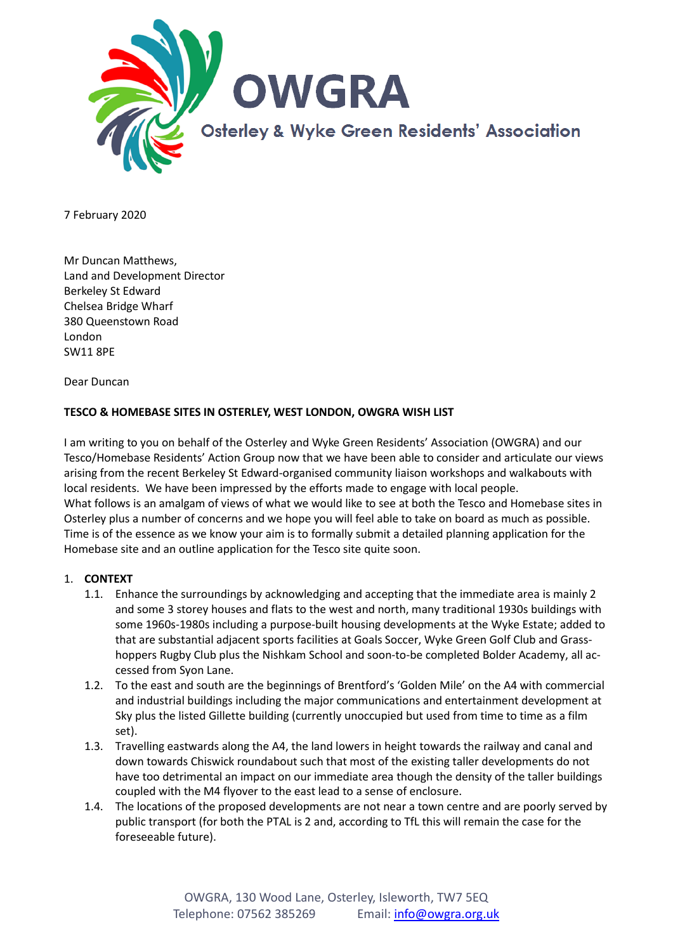

7 February 2020

Mr Duncan Matthews, Land and Development Director Berkeley St Edward Chelsea Bridge Wharf 380 Queenstown Road London SW11 8PE

Dear Duncan

## **TESCO & HOMEBASE SITES IN OSTERLEY, WEST LONDON, OWGRA WISH LIST**

I am writing to you on behalf of the Osterley and Wyke Green Residents' Association (OWGRA) and our Tesco/Homebase Residents' Action Group now that we have been able to consider and articulate our views arising from the recent Berkeley St Edward-organised community liaison workshops and walkabouts with local residents. We have been impressed by the efforts made to engage with local people. What follows is an amalgam of views of what we would like to see at both the Tesco and Homebase sites in Osterley plus a number of concerns and we hope you will feel able to take on board as much as possible. Time is of the essence as we know your aim is to formally submit a detailed planning application for the Homebase site and an outline application for the Tesco site quite soon.

#### 1. **CONTEXT**

- 1.1. Enhance the surroundings by acknowledging and accepting that the immediate area is mainly 2 and some 3 storey houses and flats to the west and north, many traditional 1930s buildings with some 1960s-1980s including a purpose-built housing developments at the Wyke Estate; added to that are substantial adjacent sports facilities at Goals Soccer, Wyke Green Golf Club and Grasshoppers Rugby Club plus the Nishkam School and soon-to-be completed Bolder Academy, all accessed from Syon Lane.
- 1.2. To the east and south are the beginnings of Brentford's 'Golden Mile' on the A4 with commercial and industrial buildings including the major communications and entertainment development at Sky plus the listed Gillette building (currently unoccupied but used from time to time as a film set).
- 1.3. Travelling eastwards along the A4, the land lowers in height towards the railway and canal and down towards Chiswick roundabout such that most of the existing taller developments do not have too detrimental an impact on our immediate area though the density of the taller buildings coupled with the M4 flyover to the east lead to a sense of enclosure.
- 1.4. The locations of the proposed developments are not near a town centre and are poorly served by public transport (for both the PTAL is 2 and, according to TfL this will remain the case for the foreseeable future).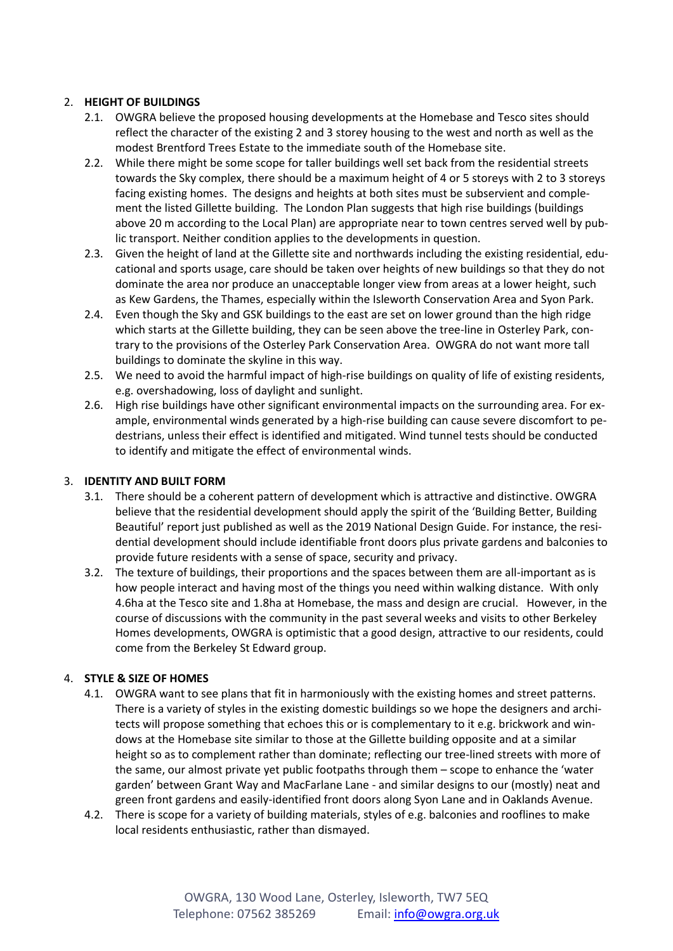# 2. **HEIGHT OF BUILDINGS**

- 2.1. OWGRA believe the proposed housing developments at the Homebase and Tesco sites should reflect the character of the existing 2 and 3 storey housing to the west and north as well as the modest Brentford Trees Estate to the immediate south of the Homebase site.
- 2.2. While there might be some scope for taller buildings well set back from the residential streets towards the Sky complex, there should be a maximum height of 4 or 5 storeys with 2 to 3 storeys facing existing homes. The designs and heights at both sites must be subservient and complement the listed Gillette building. The London Plan suggests that high rise buildings (buildings above 20 m according to the Local Plan) are appropriate near to town centres served well by public transport. Neither condition applies to the developments in question.
- 2.3. Given the height of land at the Gillette site and northwards including the existing residential, educational and sports usage, care should be taken over heights of new buildings so that they do not dominate the area nor produce an unacceptable longer view from areas at a lower height, such as Kew Gardens, the Thames, especially within the Isleworth Conservation Area and Syon Park.
- 2.4. Even though the Sky and GSK buildings to the east are set on lower ground than the high ridge which starts at the Gillette building, they can be seen above the tree-line in Osterley Park, contrary to the provisions of the Osterley Park Conservation Area. OWGRA do not want more tall buildings to dominate the skyline in this way.
- 2.5. We need to avoid the harmful impact of high-rise buildings on quality of life of existing residents, e.g. overshadowing, loss of daylight and sunlight.
- 2.6. High rise buildings have other significant environmental impacts on the surrounding area. For example, environmental winds generated by a high-rise building can cause severe discomfort to pedestrians, unless their effect is identified and mitigated. Wind tunnel tests should be conducted to identify and mitigate the effect of environmental winds.

## 3. **IDENTITY AND BUILT FORM**

- 3.1. There should be a coherent pattern of development which is attractive and distinctive. OWGRA believe that the residential development should apply the spirit of the 'Building Better, Building Beautiful' report just published as well as the 2019 National Design Guide. For instance, the residential development should include identifiable front doors plus private gardens and balconies to provide future residents with a sense of space, security and privacy.
- 3.2. The texture of buildings, their proportions and the spaces between them are all-important as is how people interact and having most of the things you need within walking distance. With only 4.6ha at the Tesco site and 1.8ha at Homebase, the mass and design are crucial. However, in the course of discussions with the community in the past several weeks and visits to other Berkeley Homes developments, OWGRA is optimistic that a good design, attractive to our residents, could come from the Berkeley St Edward group.

## 4. **STYLE & SIZE OF HOMES**

- 4.1. OWGRA want to see plans that fit in harmoniously with the existing homes and street patterns. There is a variety of styles in the existing domestic buildings so we hope the designers and architects will propose something that echoes this or is complementary to it e.g. brickwork and windows at the Homebase site similar to those at the Gillette building opposite and at a similar height so as to complement rather than dominate; reflecting our tree-lined streets with more of the same, our almost private yet public footpaths through them – scope to enhance the 'water garden' between Grant Way and MacFarlane Lane - and similar designs to our (mostly) neat and green front gardens and easily-identified front doors along Syon Lane and in Oaklands Avenue.
- 4.2. There is scope for a variety of building materials, styles of e.g. balconies and rooflines to make local residents enthusiastic, rather than dismayed.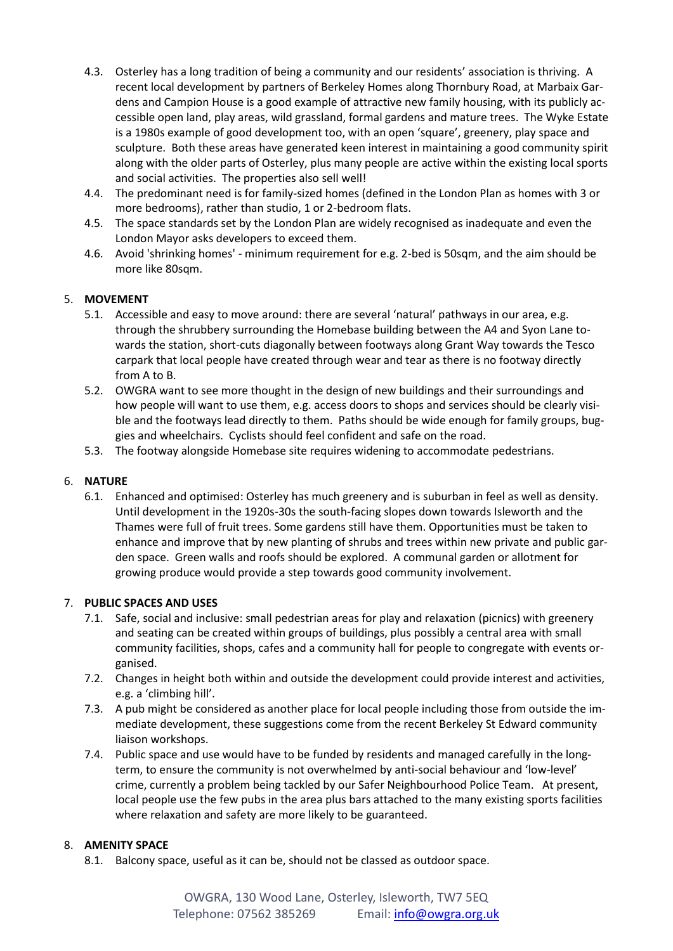- 4.3. Osterley has a long tradition of being a community and our residents' association is thriving. A recent local development by partners of Berkeley Homes along Thornbury Road, at Marbaix Gardens and Campion House is a good example of attractive new family housing, with its publicly accessible open land, play areas, wild grassland, formal gardens and mature trees. The Wyke Estate is a 1980s example of good development too, with an open 'square', greenery, play space and sculpture. Both these areas have generated keen interest in maintaining a good community spirit along with the older parts of Osterley, plus many people are active within the existing local sports and social activities. The properties also sell well!
- 4.4. The predominant need is for family-sized homes (defined in the London Plan as homes with 3 or more bedrooms), rather than studio, 1 or 2-bedroom flats.
- 4.5. The space standards set by the London Plan are widely recognised as inadequate and even the London Mayor asks developers to exceed them.
- 4.6. Avoid 'shrinking homes' minimum requirement for e.g. 2-bed is 50sqm, and the aim should be more like 80sqm.

## 5. **MOVEMENT**

- 5.1. Accessible and easy to move around: there are several 'natural' pathways in our area, e.g. through the shrubbery surrounding the Homebase building between the A4 and Syon Lane towards the station, short-cuts diagonally between footways along Grant Way towards the Tesco carpark that local people have created through wear and tear as there is no footway directly from A to B.
- 5.2. OWGRA want to see more thought in the design of new buildings and their surroundings and how people will want to use them, e.g. access doors to shops and services should be clearly visible and the footways lead directly to them. Paths should be wide enough for family groups, buggies and wheelchairs. Cyclists should feel confident and safe on the road.
- 5.3. The footway alongside Homebase site requires widening to accommodate pedestrians.

### 6. **NATURE**

6.1. Enhanced and optimised: Osterley has much greenery and is suburban in feel as well as density. Until development in the 1920s-30s the south-facing slopes down towards Isleworth and the Thames were full of fruit trees. Some gardens still have them. Opportunities must be taken to enhance and improve that by new planting of shrubs and trees within new private and public garden space. Green walls and roofs should be explored. A communal garden or allotment for growing produce would provide a step towards good community involvement.

#### 7. **PUBLIC SPACES AND USES**

- 7.1. Safe, social and inclusive: small pedestrian areas for play and relaxation (picnics) with greenery and seating can be created within groups of buildings, plus possibly a central area with small community facilities, shops, cafes and a community hall for people to congregate with events organised.
- 7.2. Changes in height both within and outside the development could provide interest and activities, e.g. a 'climbing hill'.
- 7.3. A pub might be considered as another place for local people including those from outside the immediate development, these suggestions come from the recent Berkeley St Edward community liaison workshops.
- 7.4. Public space and use would have to be funded by residents and managed carefully in the longterm, to ensure the community is not overwhelmed by anti-social behaviour and 'low-level' crime, currently a problem being tackled by our Safer Neighbourhood Police Team. At present, local people use the few pubs in the area plus bars attached to the many existing sports facilities where relaxation and safety are more likely to be guaranteed.

#### 8. **AMENITY SPACE**

8.1. Balcony space, useful as it can be, should not be classed as outdoor space.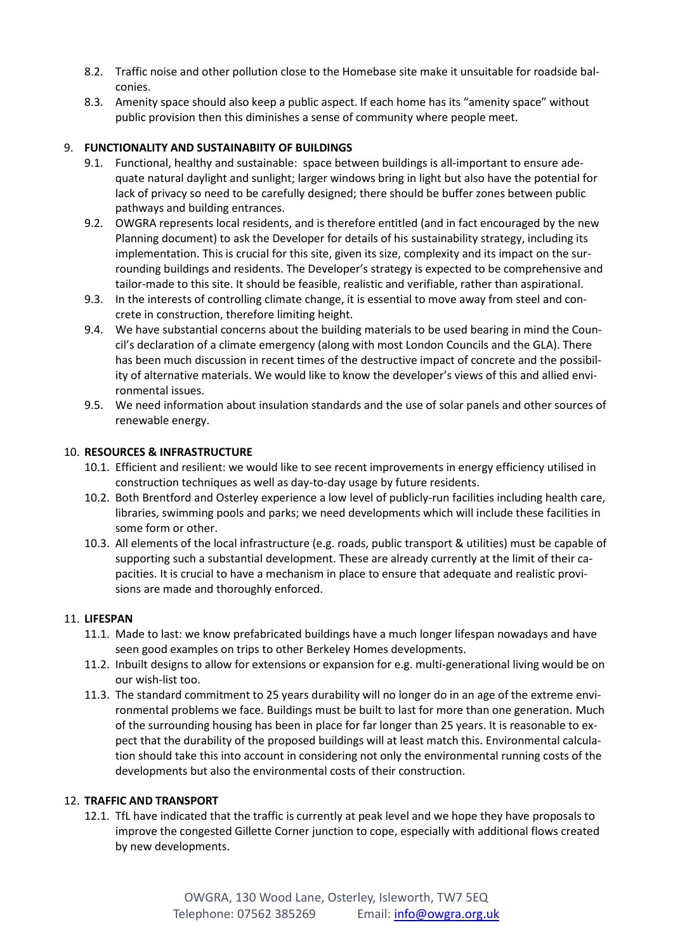- 8.2. Traffic noise and other pollution close to the Homebase site make it unsuitable for roadside balconies.
- 8.3. Amenity space should also keep a public aspect. If each home has its "amenity space" without public provision then this diminishes a sense of community where people meet.

## 9. **FUNCTIONALITY AND SUSTAINABIITY OF BUILDINGS**

- 9.1. Functional, healthy and sustainable: space between buildings is all-important to ensure adequate natural daylight and sunlight; larger windows bring in light but also have the potential for lack of privacy so need to be carefully designed; there should be buffer zones between public pathways and building entrances.
- 9.2. OWGRA represents local residents, and is therefore entitled (and in fact encouraged by the new Planning document) to ask the Developer for details of his sustainability strategy, including its implementation. This is crucial for this site, given its size, complexity and its impact on the surrounding buildings and residents. The Developer's strategy is expected to be comprehensive and tailor-made to this site. It should be feasible, realistic and verifiable, rather than aspirational.
- 9.3. In the interests of controlling climate change, it is essential to move away from steel and concrete in construction, therefore limiting height.
- 9.4. We have substantial concerns about the building materials to be used bearing in mind the Council's declaration of a climate emergency (along with most London Councils and the GLA). There has been much discussion in recent times of the destructive impact of concrete and the possibility of alternative materials. We would like to know the developer's views of this and allied environmental issues.
- 9.5. We need information about insulation standards and the use of solar panels and other sources of renewable energy.

## 10. **RESOURCES & INFRASTRUCTURE**

- 10.1. Efficient and resilient: we would like to see recent improvements in energy efficiency utilised in construction techniques as well as day-to-day usage by future residents.
- 10.2. Both Brentford and Osterley experience a low level of publicly-run facilities including health care, libraries, swimming pools and parks; we need developments which will include these facilities in some form or other.
- 10.3. All elements of the local infrastructure (e.g. roads, public transport & utilities) must be capable of supporting such a substantial development. These are already currently at the limit of their capacities. It is crucial to have a mechanism in place to ensure that adequate and realistic provisions are made and thoroughly enforced.

#### 11. **LIFESPAN**

- 11.1. Made to last: we know prefabricated buildings have a much longer lifespan nowadays and have seen good examples on trips to other Berkeley Homes developments.
- 11.2. Inbuilt designs to allow for extensions or expansion for e.g. multi-generational living would be on our wish-list too.
- 11.3. The standard commitment to 25 years durability will no longer do in an age of the extreme environmental problems we face. Buildings must be built to last for more than one generation. Much of the surrounding housing has been in place for far longer than 25 years. It is reasonable to expect that the durability of the proposed buildings will at least match this. Environmental calculation should take this into account in considering not only the environmental running costs of the developments but also the environmental costs of their construction.

## 12. **TRAFFIC AND TRANSPORT**

12.1. TfL have indicated that the traffic is currently at peak level and we hope they have proposals to improve the congested Gillette Corner junction to cope, especially with additional flows created by new developments.